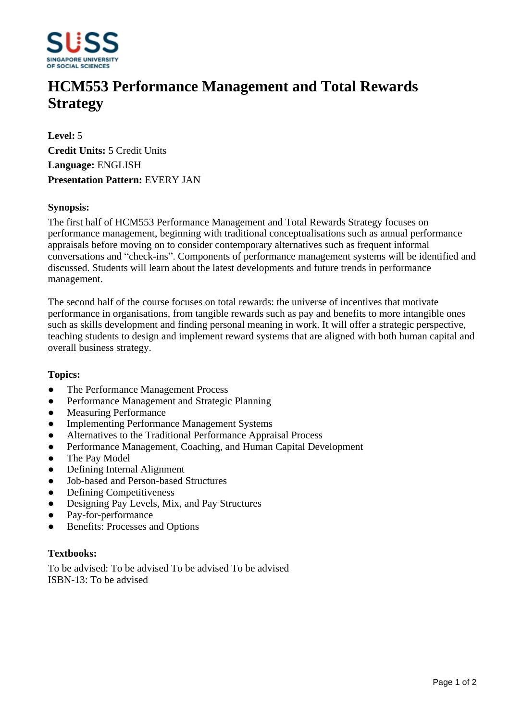

# **HCM553 Performance Management and Total Rewards Strategy**

**Level:** 5 **Credit Units:** 5 Credit Units **Language:** ENGLISH **Presentation Pattern:** EVERY JAN

### **Synopsis:**

The first half of HCM553 Performance Management and Total Rewards Strategy focuses on performance management, beginning with traditional conceptualisations such as annual performance appraisals before moving on to consider contemporary alternatives such as frequent informal conversations and "check-ins". Components of performance management systems will be identified and discussed. Students will learn about the latest developments and future trends in performance management.

The second half of the course focuses on total rewards: the universe of incentives that motivate performance in organisations, from tangible rewards such as pay and benefits to more intangible ones such as skills development and finding personal meaning in work. It will offer a strategic perspective, teaching students to design and implement reward systems that are aligned with both human capital and overall business strategy.

#### **Topics:**

- The Performance Management Process
- Performance Management and Strategic Planning
- Measuring Performance
- Implementing Performance Management Systems
- Alternatives to the Traditional Performance Appraisal Process
- Performance Management, Coaching, and Human Capital Development
- The Pay Model
- Defining Internal Alignment
- ƔJob-based and Person-based Structures
- Defining Competitiveness
- Designing Pay Levels, Mix, and Pay Structures
- Pay-for-performance
- Benefits: Processes and Options

## **Textbooks:**

To be advised: To be advised To be advised To be advised ISBN-13: To be advised